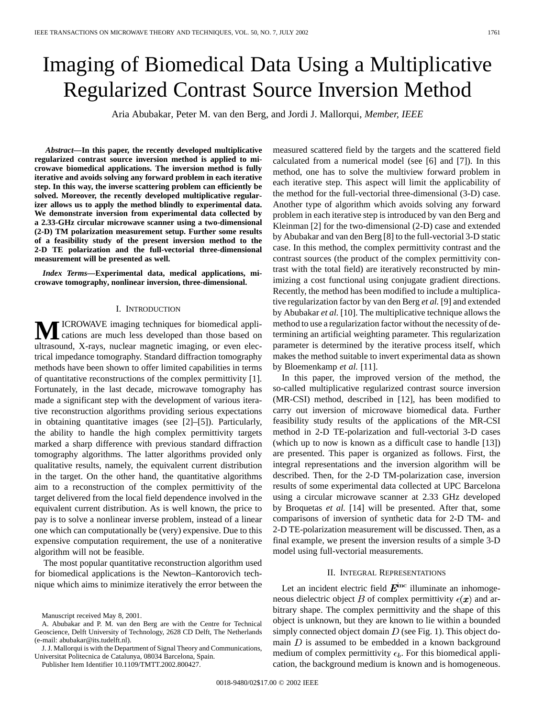# Imaging of Biomedical Data Using a Multiplicative Regularized Contrast Source Inversion Method

Aria Abubakar, Peter M. van den Berg, and Jordi J. Mallorqui*, Member, IEEE*

*Abstract—***In this paper, the recently developed multiplicative regularized contrast source inversion method is applied to microwave biomedical applications. The inversion method is fully iterative and avoids solving any forward problem in each iterative step. In this way, the inverse scattering problem can efficiently be solved. Moreover, the recently developed multiplicative regularizer allows us to apply the method blindly to experimental data. We demonstrate inversion from experimental data collected by a 2.33-GHz circular microwave scanner using a two-dimensional (2-D) TM polarization measurement setup. Further some results of a feasibility study of the present inversion method to the 2-D TE polarization and the full-vectorial three-dimensional measurement will be presented as well.**

*Index Terms—***Experimental data, medical applications, microwave tomography, nonlinear inversion, three-dimensional.**

## I. INTRODUCTION

**M**ICROWAVE imaging techniques for biomedical applications are much less developed than those based on ultrasound, X-rays, nuclear magnetic imaging, or even electrical impedance tomography. Standard diffraction tomography methods have been shown to offer limited capabilities in terms of quantitative reconstructions of the complex permittivity [1]. Fortunately, in the last decade, microwave tomography has made a significant step with the development of various iterative reconstruction algorithms providing serious expectations in obtaining quantitative images (see [2]–[5]). Particularly, the ability to handle the high complex permittivity targets marked a sharp difference with previous standard diffraction tomography algorithms. The latter algorithms provided only qualitative results, namely, the equivalent current distribution in the target. On the other hand, the quantitative algorithms aim to a reconstruction of the complex permittivity of the target delivered from the local field dependence involved in the equivalent current distribution. As is well known, the price to pay is to solve a nonlinear inverse problem, instead of a linear one which can computationally be (very) expensive. Due to this expensive computation requirement, the use of a noniterative algorithm will not be feasible.

The most popular quantitative reconstruction algorithm used for biomedical applications is the Newton–Kantorovich technique which aims to minimize iteratively the error between the

Publisher Item Identifier 10.1109/TMTT.2002.800427.

measured scattered field by the targets and the scattered field calculated from a numerical model (see [6] and [7]). In this method, one has to solve the multiview forward problem in each iterative step. This aspect will limit the applicability of the method for the full-vectorial three-dimensional (3-D) case. Another type of algorithm which avoids solving any forward problem in each iterative step is introduced by van den Berg and Kleinman [2] for the two-dimensional (2-D) case and extended by Abubakar and van den Berg [8] to the full-vectorial 3-D static case. In this method, the complex permittivity contrast and the contrast sources (the product of the complex permittivity contrast with the total field) are iteratively reconstructed by minimizing a cost functional using conjugate gradient directions. Recently, the method has been modified to include a multiplicative regularization factor by van den Berg *et al.* [9] and extended by Abubakar *et al.* [10]. The multiplicative technique allows the method to use a regularization factor without the necessity of determining an artificial weighting parameter. This regularization parameter is determined by the iterative process itself, which makes the method suitable to invert experimental data as shown by Bloemenkamp *et al.* [11].

In this paper, the improved version of the method, the so-called multiplicative regularized contrast source inversion (MR-CSI) method, described in [12], has been modified to carry out inversion of microwave biomedical data. Further feasibility study results of the applications of the MR-CSI method in 2-D TE-polarization and full-vectorial 3-D cases (which up to now is known as a difficult case to handle [13]) are presented. This paper is organized as follows. First, the integral representations and the inversion algorithm will be described. Then, for the 2-D TM-polarization case, inversion results of some experimental data collected at UPC Barcelona using a circular microwave scanner at 2.33 GHz developed by Broquetas *et al.* [14] will be presented. After that, some comparisons of inversion of synthetic data for 2-D TM- and 2-D TE-polarization measurement will be discussed. Then, as a final example, we present the inversion results of a simple 3-D model using full-vectorial measurements.

# II. INTEGRAL REPRESENTATIONS

Let an incident electric field  $\vec{E}^{\text{inc}}$  illuminate an inhomogeneous dielectric object B of complex permittivity  $\epsilon(x)$  and arbitrary shape. The complex permittivity and the shape of this object is unknown, but they are known to lie within a bounded simply connected object domain  $D$  (see Fig. 1). This object domain  $D$  is assumed to be embedded in a known background medium of complex permittivity  $\epsilon_b$ . For this biomedical application, the background medium is known and is homogeneous.

Manuscript received May 8, 2001.

A. Abubakar and P. M. van den Berg are with the Centre for Technical Geoscience, Delft University of Technology, 2628 CD Delft, The Netherlands (e-mail: abubakar@its.tudelft.nl).

J. J. Mallorqui is with the Department of Signal Theory and Communications, Universitat Politecnica de Catalunya, 08034 Barcelona, Spain.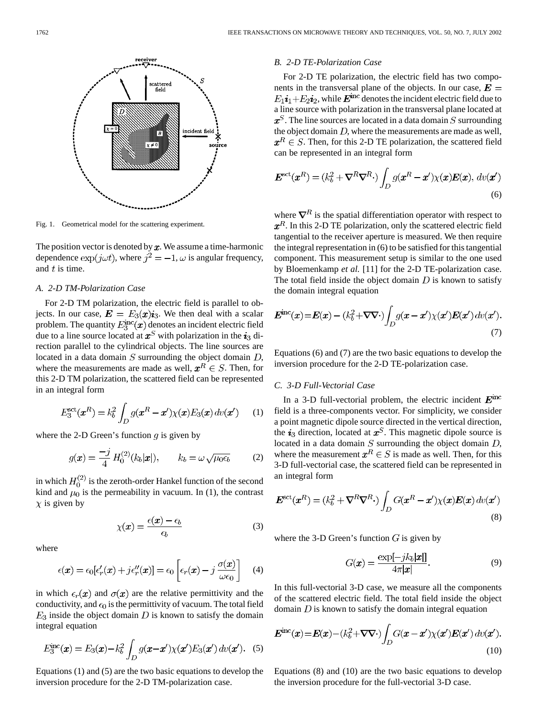

Fig. 1. Geometrical model for the scattering experiment.

The position vector is denoted by  $x$ . We assume a time-harmonic dependence  $\exp(j\omega t)$ , where  $j^2 = -1$ ,  $\omega$  is angular frequency, and  $t$  is time.

# *A. 2-D TM-Polarization Case*

For 2-D TM polarization, the electric field is parallel to objects. In our case,  $\mathbf{E} = E_3(x) \mathbf{i}_3$ . We then deal with a scalar problem. The quantity  $E_{\rm a}^{\rm inc}(\boldsymbol{x})$  denotes an incident electric field due to a line source located at  $x^S$  with polarization in the  $i_3$  direction parallel to the cylindrical objects. The line sources are located in a data domain  $S$  surrounding the object domain  $D$ , where the measurements are made as well,  $\boldsymbol{x}^R \in S$ . Then, for this 2-D TM polarization, the scattered field can be represented in an integral form

$$
E_3^{\text{set}}(\boldsymbol{x}^R) = k_b^2 \int_D g(\boldsymbol{x}^R - \boldsymbol{x}') \chi(\boldsymbol{x}) E_3(\boldsymbol{x}) \, dv(\boldsymbol{x}') \qquad (1)
$$

where the 2-D Green's function  $q$  is given by

$$
g(\boldsymbol{x}) = \frac{-j}{4} H_0^{(2)}(k_b|\boldsymbol{x}|), \qquad k_b = \omega \sqrt{\mu_0 \epsilon_b} \tag{2}
$$

in which  $H_0^{(2)}$  is the zeroth-order Hankel function of the second kind and  $\mu_0$  is the permeability in vacuum. In (1), the contrast  $\chi$  is given by

$$
\chi(\boldsymbol{x}) = \frac{\epsilon(\boldsymbol{x}) - \epsilon_b}{\epsilon_b} \tag{3}
$$

where

$$
\epsilon(\mathbf{x}) = \epsilon_0[\epsilon'_r(\mathbf{x}) + j\epsilon''_r(\mathbf{x})] = \epsilon_0 \left[\epsilon_r(\mathbf{x}) - j\frac{\sigma(\mathbf{x})}{\omega\epsilon_0}\right] \quad (4)
$$

in which  $\epsilon_r(x)$  and  $\sigma(x)$  are the relative permittivity and the conductivity, and  $\epsilon_0$  is the permittivity of vacuum. The total field  $E_3$  inside the object domain D is known to satisfy the domain integral equation

$$
E_3^{\rm inc}(\mathbf{x}) = E_3(\mathbf{x}) - k_b^2 \int_D g(\mathbf{x} - \mathbf{x}') \chi(\mathbf{x}') E_3(\mathbf{x}') \, dv(\mathbf{x}'). \tag{5}
$$

Equations (1) and (5) are the two basic equations to develop the inversion procedure for the 2-D TM-polarization case.

# *B. 2-D TE-Polarization Case*

For 2-D TE polarization, the electric field has two components in the transversal plane of the objects. In our case,  $E =$  $E_1 i_1 + E_2 i_2$ , while  $\mathbf{E}^{\text{inc}}$  denotes the incident electric field due to a line source with polarization in the transversal plane located at  $x^S$ . The line sources are located in a data domain S surrounding the object domain  $D$ , where the measurements are made as well,  $x^R \in S$ . Then, for this 2-D TE polarization, the scattered field can be represented in an integral form

$$
\boldsymbol{E}^{\text{ect}}(\boldsymbol{x}^R) = (k_b^2 + \nabla^R \nabla^R \cdot) \int_D g(\boldsymbol{x}^R - \boldsymbol{x}') \chi(\boldsymbol{x}) \boldsymbol{E}(\boldsymbol{x}), \, dv(\boldsymbol{x}')
$$
(6)

where  $\nabla^R$  is the spatial differentiation operator with respect to  $x^R$ . In this 2-D TE polarization, only the scattered electric field tangential to the receiver aperture is measured. We then require the integral representation in (6) to be satisfied for this tangential component. This measurement setup is similar to the one used by Bloemenkamp *et al.* [11] for the 2-D TE-polarization case. The total field inside the object domain  $D$  is known to satisfy the domain integral equation

$$
\boldsymbol{E}^{\rm inc}(\boldsymbol{x}) = \boldsymbol{E}(\boldsymbol{x}) - (k_b^2 + \nabla \nabla \cdot) \int_D g(\boldsymbol{x} - \boldsymbol{x}') \chi(\boldsymbol{x}') \boldsymbol{E}(\boldsymbol{x}') \, dv(\boldsymbol{x}'). \tag{7}
$$

Equations (6) and (7) are the two basic equations to develop the inversion procedure for the 2-D TE-polarization case.

# *C. 3-D Full-Vectorial Case*

In a 3-D full-vectorial problem, the electric incident  $E^{\text{inc}}$ field is a three-components vector. For simplicity, we consider a point magnetic dipole source directed in the vertical direction, the  $i_3$  direction, located at  $x^S$ . This magnetic dipole source is located in a data domain  $S$  surrounding the object domain  $D$ , where the measurement  $\boldsymbol{x}^R \in S$  is made as well. Then, for this 3-D full-vectorial case, the scattered field can be represented in an integral form

$$
\boldsymbol{E}^{\text{ect}}(\boldsymbol{x}^R) = (k_b^2 + \boldsymbol{\nabla}^R \boldsymbol{\nabla}^R \cdot) \int_D G(\boldsymbol{x}^R - \boldsymbol{x}') \chi(\boldsymbol{x}) \boldsymbol{E}(\boldsymbol{x}) \, d\upsilon(\boldsymbol{x}')
$$
\n(8)

where the 3-D Green's function  $G$  is given by

$$
G(\boldsymbol{x}) = \frac{\exp[-jk_b|\boldsymbol{x}|]}{4\pi|\boldsymbol{x}|}.
$$
\n(9)

In this full-vectorial 3-D case, we measure all the components of the scattered electric field. The total field inside the object domain  $D$  is known to satisfy the domain integral equation

$$
E^{\rm inc}(x) = E(x) - (k_b^2 + \nabla \nabla \cdot) \int_D G(x - x') \chi(x') E(x') \, dv(x'). \tag{10}
$$

Equations (8) and (10) are the two basic equations to develop the inversion procedure for the full-vectorial 3-D case.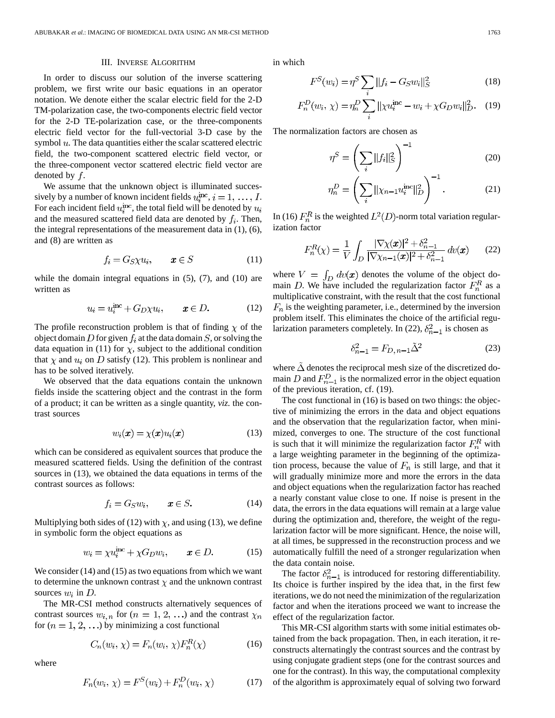#### III. INVERSE ALGORITHM

In order to discuss our solution of the inverse scattering problem, we first write our basic equations in an operator notation. We denote either the scalar electric field for the 2-D TM-polarization case, the two-components electric field vector for the 2-D TE-polarization case, or the three-components electric field vector for the full-vectorial 3-D case by the symbol  $u$ . The data quantities either the scalar scattered electric field, the two-component scattered electric field vector, or the three-component vector scattered electric field vector are denoted by  $f$ .

We assume that the unknown object is illuminated successively by a number of known incident fields  $u_i^{\text{inc}}, i = 1, \ldots, I$ . For each incident field  $u_i^{\text{inc}}$ , the total field will be denoted by  $u_i$ and the measured scattered field data are denoted by  $f_i$ . Then, the integral representations of the measurement data in (1), (6), and (8) are written as

$$
f_i = G_S \chi u_i, \qquad \mathbf{x} \in S \tag{11}
$$

while the domain integral equations in  $(5)$ ,  $(7)$ , and  $(10)$  are written as

$$
u_i = u_i^{\text{inc}} + G_D \chi u_i, \qquad \mathbf{x} \in D. \tag{12}
$$

The profile reconstruction problem is that of finding  $\chi$  of the object domain  $D$  for given  $f_i$  at the data domain  $S$ , or solving the data equation in (11) for  $\chi$ , subject to the additional condition that  $\chi$  and  $u_i$  on D satisfy (12). This problem is nonlinear and has to be solved iteratively.

We observed that the data equations contain the unknown fields inside the scattering object and the contrast in the form of a product; it can be written as a single quantity, *viz.* the contrast sources

$$
w_i(\mathbf{x}) = \chi(\mathbf{x})u_i(\mathbf{x}) \tag{13}
$$

which can be considered as equivalent sources that produce the measured scattered fields. Using the definition of the contrast sources in (13), we obtained the data equations in terms of the contrast sources as follows:

$$
f_i = G_S w_i, \qquad \pmb{x} \in S. \tag{14}
$$

Multiplying both sides of (12) with  $\chi$ , and using (13), we define in symbolic form the object equations as

$$
w_i = \chi u_i^{\text{inc}} + \chi G_D w_i, \qquad \mathbf{x} \in D. \tag{15}
$$

We consider (14) and (15) as two equations from which we want to determine the unknown contrast  $\chi$  and the unknown contrast sources  $w_i$  in  $D$ .

The MR-CSI method constructs alternatively sequences of contrast sources  $w_{i,n}$  for  $(n = 1, 2, ...)$  and the contrast  $\chi_n$ for  $(n = 1, 2, ...)$  by minimizing a cost functional

$$
C_n(w_i, \chi) = F_n(w_i, \chi) F_n^R(\chi) \tag{16}
$$

where

$$
F_n(w_i, \chi) = F^S(w_i) + F_n^D(w_i, \chi)
$$
 (17)

in which

$$
F^{S}(w_{i}) = \eta^{S} \sum_{i} ||f_{i} - G_{S}w_{i}||_{S}^{2}
$$
 (18)

$$
F_n^D(w_i, \chi) = \eta_n^D \sum_i ||\chi u_i^{\text{inc}} - w_i + \chi G_D w_i||_D^2. \tag{19}
$$

The normalization factors are chosen as

$$
\eta^S = \left(\sum_i ||f_i||_S^2\right)^{-1} \tag{20}
$$

$$
\eta_n^D = \left(\sum_i ||\chi_{n-1} u_i^{\text{inc}}||_D^2\right)^{-1}.\tag{21}
$$

In (16)  $F_n^R$  is the weighted  $L^2(D)$ -norm total variation regularization factor

$$
F_n^R(\chi) = \frac{1}{V} \int_D \frac{|\nabla \chi(x)|^2 + \delta_{n-1}^2}{|\nabla \chi_{n-1}(x)|^2 + \delta_{n-1}^2} \, dv(x) \qquad (22)
$$

where  $V = \int_D dv(x)$  denotes the volume of the object domain D. We have included the regularization factor  $F_n^R$  as a multiplicative constraint, with the result that the cost functional  $F_n$  is the weighting parameter, i.e., determined by the inversion problem itself. This eliminates the choice of the artificial regularization parameters completely. In (22),  $\delta_{n-1}^2$  is chosen as

$$
\delta_{n-1}^2 = F_{D,n-1} \tilde{\Delta}^2 \tag{23}
$$

where  $\Delta$  denotes the reciprocal mesh size of the discretized domain D and  $F_{n-1}^D$  is the normalized error in the object equation of the previous iteration, cf. (19).

The cost functional in (16) is based on two things: the objective of minimizing the errors in the data and object equations and the observation that the regularization factor, when minimized, converges to one. The structure of the cost functional is such that it will minimize the regularization factor  $F_n^R$  with a large weighting parameter in the beginning of the optimization process, because the value of  $F_n$  is still large, and that it will gradually minimize more and more the errors in the data and object equations when the regularization factor has reached a nearly constant value close to one. If noise is present in the data, the errors in the data equations will remain at a large value during the optimization and, therefore, the weight of the regularization factor will be more significant. Hence, the noise will, at all times, be suppressed in the reconstruction process and we automatically fulfill the need of a stronger regularization when the data contain noise.

The factor  $\delta_{n-1}^2$  is introduced for restoring differentiability. Its choice is further inspired by the idea that, in the first few iterations, we do not need the minimization of the regularization factor and when the iterations proceed we want to increase the effect of the regularization factor.

This MR-CSI algorithm starts with some initial estimates obtained from the back propagation. Then, in each iteration, it reconstructs alternatingly the contrast sources and the contrast by using conjugate gradient steps (one for the contrast sources and one for the contrast). In this way, the computational complexity of the algorithm is approximately equal of solving two forward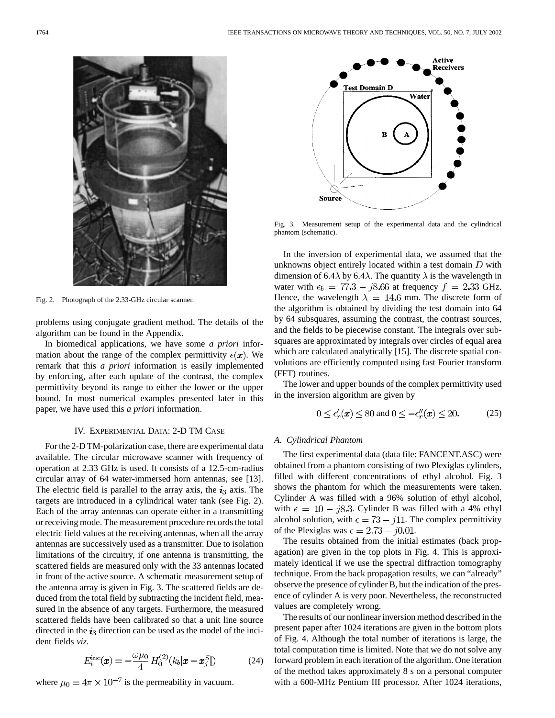

Fig. 2. Photograph of the 2.33-GHz circular scanner.

problems using conjugate gradient method. The details of the algorithm can be found in the Appendix.

In biomedical applications, we have some *a priori* information about the range of the complex permittivity  $\epsilon(\mathbf{x})$ . We remark that this *a priori* information is easily implemented by enforcing, after each update of the contrast, the complex permittivity beyond its range to either the lower or the upper bound. In most numerical examples presented later in this paper, we have used this *a priori* information.

# IV. EXPERIMENTAL DATA: 2-D TM CASE

For the 2-D TM-polarization case, there are experimental data available. The circular microwave scanner with frequency of operation at 2.33 GHz is used. It consists of a 12.5-cm-radius circular array of 64 water-immersed horn antennas, see [13]. The electric field is parallel to the array axis, the  $i_3$  axis. The targets are introduced in a cylindrical water tank (see Fig. 2). Each of the array antennas can operate either in a transmitting or receiving mode. The measurement procedure records the total electric field values at the receiving antennas, when all the array antennas are successively used as a transmitter. Due to isolation limitations of the circuitry, if one antenna is transmitting, the scattered fields are measured only with the 33 antennas located in front of the active source. A schematic measurement setup of the antenna array is given in Fig. 3. The scattered fields are deduced from the total field by subtracting the incident field, measured in the absence of any targets. Furthermore, the measured scattered fields have been calibrated so that a unit line source directed in the  $i_3$  direction can be used as the model of the incident fields *viz.*

$$
E_i^{\rm inc}(\mathbf{x}) = -\frac{\omega \mu_0}{4} H_0^{(2)}(k_b|\mathbf{x} - \mathbf{x}_j^S|)
$$
 (24)

where  $\mu_0 = 4\pi \times 10^{-7}$  is the permeability in vacuum.



Fig. 3. Measurement setup of the experimental data and the cylindrical phantom (schematic).

In the inversion of experimental data, we assumed that the unknowns object entirely located within a test domain  $D$  with dimension of 6.4 $\lambda$  by 6.4 $\lambda$ . The quantity  $\lambda$  is the wavelength in water with  $\epsilon_b = 77.3 - j8.66$  at frequency  $f = 2.33$  GHz. Hence, the wavelength  $\lambda = 14.6$  mm. The discrete form of the algorithm is obtained by dividing the test domain into 64 by 64 subsquares, assuming the contrast, the contrast sources, and the fields to be piecewise constant. The integrals over subsquares are approximated by integrals over circles of equal area which are calculated analytically [15]. The discrete spatial convolutions are efficiently computed using fast Fourier transform (FFT) routines.

The lower and upper bounds of the complex permittivity used in the inversion algorithm are given by

$$
0 \le \epsilon'_r(x) \le 80 \text{ and } 0 \le -\epsilon''_r(x) \le 20. \tag{25}
$$

#### *A. Cylindrical Phantom*

The first experimental data (data file: FANCENT.ASC) were obtained from a phantom consisting of two Plexiglas cylinders, filled with different concentrations of ethyl alcohol. Fig. 3 shows the phantom for which the measurements were taken. Cylinder A was filled with a 96% solution of ethyl alcohol, with  $\epsilon = 10 - j8.3$ . Cylinder B was filled with a 4% ethyl alcohol solution, with  $\epsilon = 73 - j11$ . The complex permittivity of the Plexiglas was  $\epsilon = 2.73 - j0.01$ .

The results obtained from the initial estimates (back propagation) are given in the top plots in Fig. 4. This is approximately identical if we use the spectral diffraction tomography technique. From the back propagation results, we can "already" observe the presence of cylinder B, but the indication of the presence of cylinder A is very poor. Nevertheless, the reconstructed values are completely wrong.

The results of our nonlinear inversion method described in the present paper after 1024 iterations are given in the bottom plots of Fig. 4. Although the total number of iterations is large, the total computation time is limited. Note that we do not solve any forward problem in each iteration of the algorithm. One iteration of the method takes approximately 8 s on a personal computer with a 600-MHz Pentium III processor. After 1024 iterations,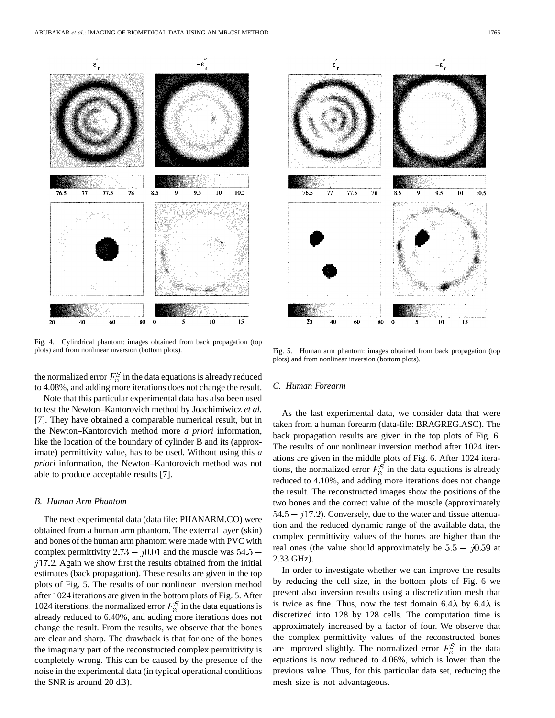

Fig. 4. Cylindrical phantom: images obtained from back propagation (top plots) and from nonlinear inversion (bottom plots).

the normalized error  $F_n^S$  in the data equations is already reduced to 4.08%, and adding more iterations does not change the result.

Note that this particular experimental data has also been used to test the Newton–Kantorovich method by Joachimiwicz *et al.* [7]. They have obtained a comparable numerical result, but in the Newton–Kantorovich method more *a priori* information, like the location of the boundary of cylinder B and its (approximate) permittivity value, has to be used. Without using this *a priori* information, the Newton–Kantorovich method was not able to produce acceptable results [7].

#### *B. Human Arm Phantom*

The next experimental data (data file: PHANARM.CO) were obtained from a human arm phantom. The external layer (skin) and bones of the human arm phantom were made with PVC with complex permittivity  $2.73 - j0.01$  and the muscle was  $54.5$  $j17.2$ . Again we show first the results obtained from the initial estimates (back propagation). These results are given in the top plots of Fig. 5. The results of our nonlinear inversion method after 1024 iterations are given in the bottom plots of Fig. 5. After 1024 iterations, the normalized error  $F_n^S$  in the data equations is already reduced to 6.40%, and adding more iterations does not change the result. From the results, we observe that the bones are clear and sharp. The drawback is that for one of the bones the imaginary part of the reconstructed complex permittivity is completely wrong. This can be caused by the presence of the noise in the experimental data (in typical operational conditions the SNR is around 20 dB).



Fig. 5. Human arm phantom: images obtained from back propagation (top plots) and from nonlinear inversion (bottom plots).

#### *C. Human Forearm*

As the last experimental data, we consider data that were taken from a human forearm (data-file: BRAGREG.ASC). The back propagation results are given in the top plots of Fig. 6. The results of our nonlinear inversion method after 1024 iterations are given in the middle plots of Fig. 6. After 1024 iterations, the normalized error  $F_n^S$  in the data equations is already reduced to 4.10%, and adding more iterations does not change the result. The reconstructed images show the positions of the two bones and the correct value of the muscle (approximately  $54.5 - j17.2$ ). Conversely, due to the water and tissue attenuation and the reduced dynamic range of the available data, the complex permittivity values of the bones are higher than the real ones (the value should approximately be  $5.5 - j0.59$  at 2.33 GHz).

In order to investigate whether we can improve the results by reducing the cell size, in the bottom plots of Fig. 6 we present also inversion results using a discretization mesh that is twice as fine. Thus, now the test domain 6.4 $\lambda$  by 6.4 $\lambda$  is discretized into 128 by 128 cells. The computation time is approximately increased by a factor of four. We observe that the complex permittivity values of the reconstructed bones are improved slightly. The normalized error  $F_n^S$  in the data equations is now reduced to 4.06%, which is lower than the previous value. Thus, for this particular data set, reducing the mesh size is not advantageous.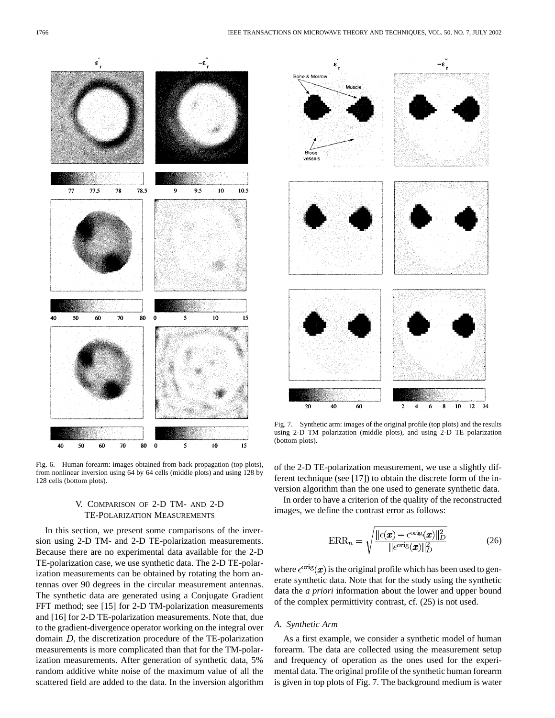

Fig. 6. Human forearm: images obtained from back propagation (top plots), from nonlinear inversion using 64 by 64 cells (middle plots) and using 128 by 128 cells (bottom plots).

# V. COMPARISON OF 2-D TM- AND 2-D TE-POLARIZATION MEASUREMENTS

In this section, we present some comparisons of the inversion using 2-D TM- and 2-D TE-polarization measurements. Because there are no experimental data available for the 2-D TE-polarization case, we use synthetic data. The 2-D TE-polarization measurements can be obtained by rotating the horn antennas over 90 degrees in the circular measurement antennas. The synthetic data are generated using a Conjugate Gradient FFT method; see [15] for 2-D TM-polarization measurements and [16] for 2-D TE-polarization measurements. Note that, due to the gradient-divergence operator working on the integral over domain  $D$ , the discretization procedure of the TE-polarization measurements is more complicated than that for the TM-polarization measurements. After generation of synthetic data, 5% random additive white noise of the maximum value of all the scattered field are added to the data. In the inversion algorithm



Fig. 7. Synthetic arm: images of the original profile (top plots) and the results using 2-D TM polarization (middle plots), and using 2-D TE polarization (bottom plots).

of the 2-D TE-polarization measurement, we use a slightly different technique (see [17]) to obtain the discrete form of the inversion algorithm than the one used to generate synthetic data.

In order to have a criterion of the quality of the reconstructed images, we define the contrast error as follows:

$$
ERR_n = \sqrt{\frac{\|\epsilon(x) - \epsilon^{\text{orig}}(x)\|_D^2}{\|\epsilon^{\text{orig}}(x)\|_D^2}}
$$
(26)

where  $\epsilon^{\text{orig}}(x)$  is the original profile which has been used to generate synthetic data. Note that for the study using the synthetic data the *a priori* information about the lower and upper bound of the complex permittivity contrast, cf. (25) is not used.

# *A. Synthetic Arm*

As a first example, we consider a synthetic model of human forearm. The data are collected using the measurement setup and frequency of operation as the ones used for the experimental data. The original profile of the synthetic human forearm is given in top plots of Fig. 7. The background medium is water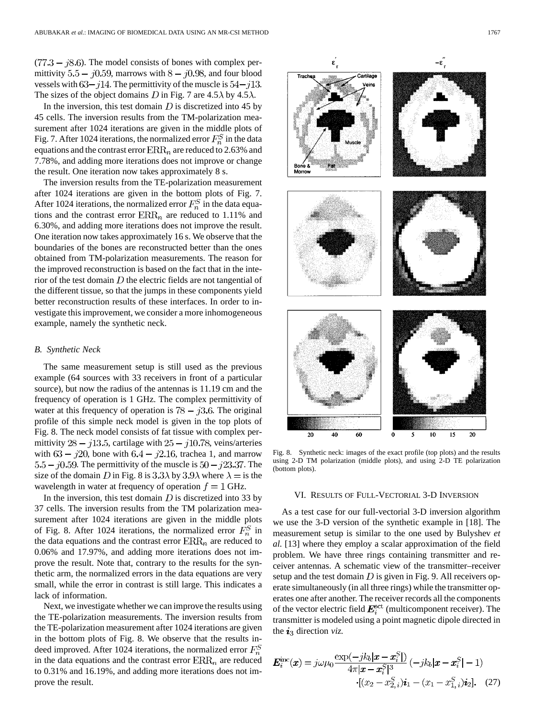$(77.3 - 18.6)$ . The model consists of bones with complex permittivity 5.5 –  $j0.59$ , marrows with  $8 - j0.98$ , and four blood vessels with  $63 - j14$ . The permittivity of the muscle is  $54 - j13$ . The sizes of the object domains D in Fig. 7 are 4.5  $\lambda$  by 4.5  $\lambda$ .

In the inversion, this test domain  $D$  is discretized into 45 by 45 cells. The inversion results from the TM-polarization measurement after 1024 iterations are given in the middle plots of Fig. 7. After 1024 iterations, the normalized error  $F_n^S$  in the data equations and the contrast error  $\text{ERR}_n$  are reduced to 2.63% and 7.78%, and adding more iterations does not improve or change the result. One iteration now takes approximately 8 s.

The inversion results from the TE-polarization measurement after 1024 iterations are given in the bottom plots of Fig. 7. After 1024 iterations, the normalized error  $F_n^S$  in the data equations and the contrast error  $\text{ERR}_n$  are reduced to 1.11% and 6.30%, and adding more iterations does not improve the result. One iteration now takes approximately 16 s. We observe that the boundaries of the bones are reconstructed better than the ones obtained from TM-polarization measurements. The reason for the improved reconstruction is based on the fact that in the interior of the test domain  $D$  the electric fields are not tangential of the different tissue, so that the jumps in these components yield better reconstruction results of these interfaces. In order to investigate this improvement, we consider a more inhomogeneous example, namely the synthetic neck.

#### *B. Synthetic Neck*

The same measurement setup is still used as the previous example (64 sources with 33 receivers in front of a particular source), but now the radius of the antennas is 11.19 cm and the frequency of operation is 1 GHz. The complex permittivity of water at this frequency of operation is  $78 - j3.6$ . The original profile of this simple neck model is given in the top plots of Fig. 8. The neck model consists of fat tissue with complex permittivity  $28 - j13.5$ , cartilage with  $25 - j10.78$ , veins/arteries with  $63 - j20$ , bone with  $6.4 - j2.16$ , trachea 1, and marrow  $5.5 - j0.59$ . The permittivity of the muscle is  $50 - j23.37$ . The size of the domain D in Fig. 8 is  $3.3\lambda$  by  $3.9\lambda$  where  $\lambda =$  is the wavelength in water at frequency of operation  $f = 1$  GHz.

In the inversion, this test domain  $D$  is discretized into 33 by 37 cells. The inversion results from the TM polarization measurement after 1024 iterations are given in the middle plots of Fig. 8. After 1024 iterations, the normalized error  $F_n^S$  in the data equations and the contrast error  $\text{ERR}_n$  are reduced to 0.06% and 17.97%, and adding more iterations does not improve the result. Note that, contrary to the results for the synthetic arm, the normalized errors in the data equations are very small, while the error in contrast is still large. This indicates a lack of information.

Next, we investigate whether we can improve the results using the TE-polarization measurements. The inversion results from the TE-polarization measurement after 1024 iterations are given in the bottom plots of Fig. 8. We observe that the results indeed improved. After 1024 iterations, the normalized error  $F_n^S$ in the data equations and the contrast error  $\text{ERR}_n$  are reduced to 0.31% and 16.19%, and adding more iterations does not improve the result.



Fig. 8. Synthetic neck: images of the exact profile (top plots) and the results using 2-D TM polarization (middle plots), and using 2-D TE polarization (bottom plots).

#### VI. RESULTS OF FULL-VECTORIAL 3-D INVERSION

As a test case for our full-vectorial 3-D inversion algorithm we use the 3-D version of the synthetic example in [18]. The measurement setup is similar to the one used by Bulyshev *et al.* [13] where they employ a scalar approximation of the field problem. We have three rings containing transmitter and receiver antennas. A schematic view of the transmitter–receiver setup and the test domain  $D$  is given in Fig. 9. All receivers operate simultaneously (in all three rings) while the transmitter operates one after another. The receiver records all the components of the vector electric field  $E_i^{\text{set}}$  (multicomponent receiver). The transmitter is modeled using a point magnetic dipole directed in the  $i_3$  direction *viz.* 

$$
E_i^{\text{inc}}(x) = j\omega\mu_0 \frac{\exp(-jk_b|x - x_i^S|)}{4\pi|x - x_i^S|^3} (-jk_b|x - x_i^S| - 1)
$$

$$
\cdot [(x_2 - x_{2,i}^S)\mathbf{i}_1 - (x_1 - x_{1,i}^S)\mathbf{i}_2].
$$
 (27)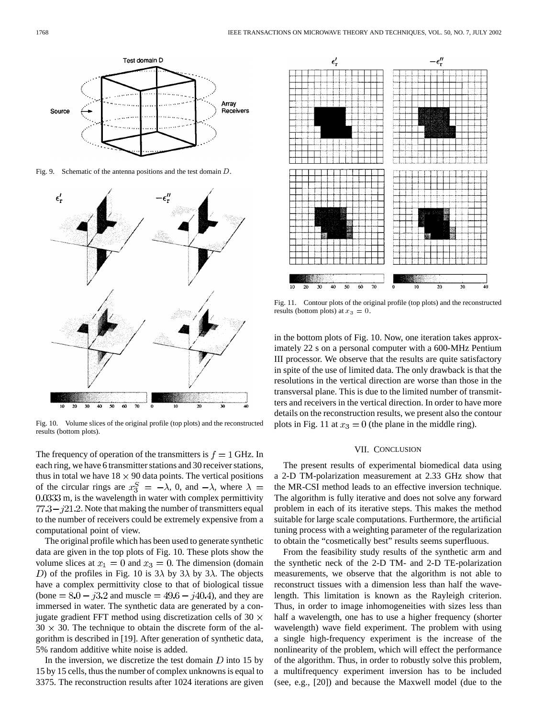

Fig. 9. Schematic of the antenna positions and the test domain D.



Fig. 10. Volume slices of the original profile (top plots) and the reconstructed results (bottom plots).

The frequency of operation of the transmitters is  $f = 1$  GHz. In each ring, we have 6 transmitter stations and 30 receiver stations, thus in total we have  $18 \times 90$  data points. The vertical positions of the circular rings are  $x_3^S = -\lambda$ , 0, and  $-\lambda$ , where  $\lambda =$ 0.0333 m, is the wavelength in water with complex permittivity  $77.3 - j21.2$ . Note that making the number of transmitters equal to the number of receivers could be extremely expensive from a computational point of view.

The original profile which has been used to generate synthetic data are given in the top plots of Fig. 10. These plots show the volume slices at  $x_1 = 0$  and  $x_3 = 0$ . The dimension (domain D) of the profiles in Fig. 10 is  $3\lambda$  by  $3\lambda$  by  $3\lambda$ . The objects have a complex permittivity close to that of biological tissue (bone  $= 8.0 - j3.2$  and muscle  $= 49.6 - j40.4$ ), and they are immersed in water. The synthetic data are generated by a conjugate gradient FFT method using discretization cells of 30  $\times$  $30 \times 30$ . The technique to obtain the discrete form of the algorithm is described in [19]. After generation of synthetic data, 5% random additive white noise is added.

In the inversion, we discretize the test domain  $D$  into 15 by 15 by 15 cells, thus the number of complex unknowns is equal to 3375. The reconstruction results after 1024 iterations are given



Fig. 11. Contour plots of the original profile (top plots) and the reconstructed results (bottom plots) at  $x_3 = 0$ .

in the bottom plots of Fig. 10. Now, one iteration takes approximately 22 s on a personal computer with a 600-MHz Pentium III processor. We observe that the results are quite satisfactory in spite of the use of limited data. The only drawback is that the resolutions in the vertical direction are worse than those in the transversal plane. This is due to the limited number of transmitters and receivers in the vertical direction. In order to have more details on the reconstruction results, we present also the contour plots in Fig. 11 at  $x_3 = 0$  (the plane in the middle ring).

## VII. CONCLUSION

The present results of experimental biomedical data using a 2-D TM-polarization measurement at 2.33 GHz show that the MR-CSI method leads to an effective inversion technique. The algorithm is fully iterative and does not solve any forward problem in each of its iterative steps. This makes the method suitable for large scale computations. Furthermore, the artificial tuning process with a weighting parameter of the regularization to obtain the "cosmetically best" results seems superfluous.

From the feasibility study results of the synthetic arm and the synthetic neck of the 2-D TM- and 2-D TE-polarization measurements, we observe that the algorithm is not able to reconstruct tissues with a dimension less than half the wavelength. This limitation is known as the Rayleigh criterion. Thus, in order to image inhomogeneities with sizes less than half a wavelength, one has to use a higher frequency (shorter wavelength) wave field experiment. The problem with using a single high-frequency experiment is the increase of the nonlinearity of the problem, which will effect the performance of the algorithm. Thus, in order to robustly solve this problem, a multifrequency experiment inversion has to be included (see, e.g., [20]) and because the Maxwell model (due to the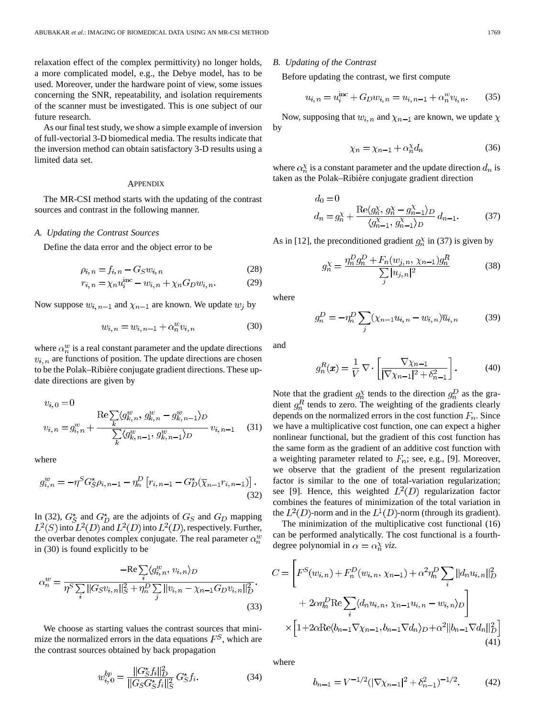relaxation effect of the complex permittivity) no longer holds, a more complicated model, e.g., the Debye model, has to be used. Moreover, under the hardware point of view, some issues concerning the SNR, repeatability, and isolation requirements of the scanner must be investigated. This is one subject of our future research.

As our final test study, we show a simple example of inversion of full-vectorial 3-D biomedical media. The results indicate that the inversion method can obtain satisfactory 3-D results using a limited data set.

#### APPENDIX

The MR-CSI method starts with the updating of the contrast sources and contrast in the following manner.

#### *A. Updating the Contrast Sources*

Define the data error and the object error to be

$$
\rho_{i,n} = f_{i,n} - G_S w_{i,n} \tag{28}
$$

$$
r_{i,n} = \chi_n u_i^{\text{inc}} - w_{i,n} + \chi_n G_D w_{i,n}.
$$
 (29)

Now suppose  $w_{i,n-1}$  and  $\chi_{n-1}$  are known. We update  $w_i$  by

$$
w_{i,n} = w_{i,n-1} + \alpha_n^w v_{i,n}
$$
 (30)

where  $\alpha_n^w$  is a real constant parameter and the update directions  $v_{i,n}$  are functions of position. The update directions are chosen to be the Polak–Ribière conjugate gradient directions. These update directions are given by

$$
v_{i,0} = 0
$$
  
\n
$$
v_{i,n} = g_{i,n}^w + \frac{\text{Re}\sum_{k} \langle g_{k,n}^w, g_{k,n}^w - g_{k,n-1}^w \rangle_D}{\sum_{k} \langle g_{k,n-1}^w, g_{k,n-1}^w \rangle_D} v_{i,n-1}
$$
 (31)

where

$$
g_{i,n}^w = -\eta^S G_S^* \rho_{i,n-1} - \eta_n^D \left[ r_{i,n-1} - G_D^* (\overline{\chi}_{n-1} r_{i,n-1}) \right].
$$
\n(32)

In (32),  $G_S^*$  and  $G_D^*$  are the adjoints of  $G_S$  and  $G_D$  mapping  $L^2(S)$  into  $L^2(D)$  and  $L^2(D)$  into  $L^2(D)$ , respectively. Further, the overbar denotes complex conjugate. The real parameter  $\alpha_n^w$ in (30) is found explicitly to be

$$
\alpha_n^w = \frac{-\text{Re}\sum_{i} \langle g_{i,n}^w, v_{i,n} \rangle_D}{\eta^S \sum_{i} ||G_S v_{i,n}||_S^2 + \eta_n^D \sum_{j} ||v_{i,n} - \chi_{n-1} G_D v_{i,n}||_D^2}.
$$
\n(33)

We choose as starting values the contrast sources that minimize the normalized errors in the data equations  $F<sup>S</sup>$ , which are the contrast sources obtained by back propagation

$$
w_{i,0}^{bp} = \frac{||G_{S}^{\star}f_{i}||_{D}^{2}}{||G_{S}G_{S}^{\star}f_{i}||_{S}^{2}} G_{S}^{\star}f_{i}.
$$
 (34)

*B. Updating of the Contrast*

Before updating the contrast, we first compute

$$
u_{i,n} = u_i^{\text{inc}} + G_D w_{i,n} = u_{i,n-1} + \alpha_n^w v_{i,n}.
$$
 (35)

Now, supposing that  $w_{i,n}$  and  $\chi_{n-1}$  are known, we update  $\chi$ by

$$
\chi_n = \chi_{n-1} + \alpha_n^{\chi} d_n \tag{36}
$$

where  $\alpha_n^{\chi}$  is a constant parameter and the update direction  $d_n$  is taken as the Polak–Ribière conjugate gradient direction

$$
d_0 = 0
$$
  
\n
$$
d_n = g_n^{\chi} + \frac{\text{Re}\langle g_n^{\chi}, g_n^{\chi} - g_{n-1}^{\chi}\rangle_D}{\langle g_{n-1}^{\chi}, g_{n-1}^{\chi}\rangle_D} d_{n-1}.
$$
\n(37)

As in [12], the preconditioned gradient  $g_n^{\chi}$  in (37) is given by

$$
g_n^{\chi} = \frac{\eta_n^D g_n^D + F_n(w_{j,n}, \chi_{n-1}) g_n^R}{\sum_{j} |u_{j,n}|^2}
$$
(38)

where

$$
g_n^D = -\eta_n^D \sum_j (\chi_{n-1} u_{i,n} - w_{i,n}) \overline{u}_{i,n}
$$
 (39)

and

$$
g_n^R(x) = \frac{1}{V} \nabla \cdot \left[ \frac{\nabla \chi_{n-1}}{|\nabla \chi_{n-1}|^2 + \delta_{n-1}^2} \right]. \tag{40}
$$

Note that the gradient  $g_n^{\chi}$  tends to the direction  $g_n^{\chi}$  as the gradient  $g_n^R$  tends to zero. The weighting of the gradients clearly depends on the normalized errors in the cost function  $F_n$ . Since we have a multiplicative cost function, one can expect a higher nonlinear functional, but the gradient of this cost function has the same form as the gradient of an additive cost function with a weighting parameter related to  $F_n$ ; see, e.g., [9]. Moreover, we observe that the gradient of the present regularization factor is similar to the one of total-variation regularization; see [9]. Hence, this weighted  $L^2(D)$  regularization factor combines the features of minimization of the total variation in the  $L^2(D)$ -norm and in the  $L^1(D)$ -norm (through its gradient).

The minimization of the multiplicative cost functional (16) can be performed analytically. The cost functional is a fourthdegree polynomial in  $\alpha = \alpha_n^{\chi}$  viz.

$$
C = \left[ F^{S}(w_{i,n}) + F_{n}^{D}(w_{i,n}, \chi_{n-1}) + \alpha^{2} \eta_{n}^{D} \sum_{i} ||d_{n} u_{i,n}||_{D}^{2} + 2\alpha \eta_{n}^{D} \text{Re} \sum_{i} \langle d_{n} u_{i,n}, \chi_{n-1} u_{i,n} - w_{i,n} \rangle_{D} \right] \times \left[ 1 + 2\alpha \text{Re} \langle b_{n-1} \nabla \chi_{n-1}, b_{n-1} \nabla d_{n} \rangle_{D} + \alpha^{2} ||b_{n-1} \nabla d_{n}||_{D}^{2} \right]
$$
\n(41)

where

$$
b_{n-1} = V^{-1/2} (|\nabla \chi_{n-1}|^2 + \delta_{n-1}^2)^{-1/2}.
$$
 (42)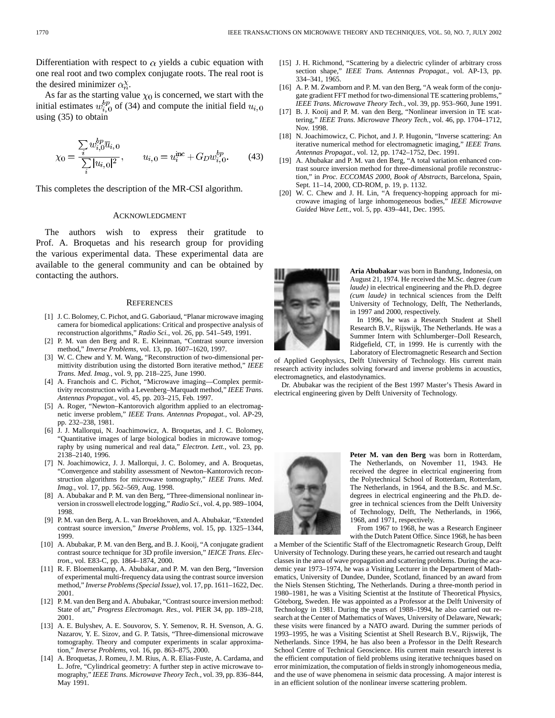Differentiation with respect to  $\alpha$  yields a cubic equation with one real root and two complex conjugate roots. The real root is the desired minimizer  $\alpha_n^{\chi}$ .

As far as the starting value  $\chi_0$  is concerned, we start with the initial estimates  $w_{i,0}^{bp}$  of (34) and compute the initial field  $u_{i,0}$ using (35) to obtain

$$
\chi_0 = \frac{\sum_{i} w_{i,0}^{bp} \overline{u}_{i,0}}{\sum_{i} |u_{i,0}|^2}, \qquad u_{i,0} = u_i^{\text{inc}} + G_D w_{i,0}^{bp}.
$$
 (43)

This completes the description of the MR-CSI algorithm.

#### ACKNOWLEDGMENT

The authors wish to express their gratitude to Prof. A. Broquetas and his research group for providing the various experimental data. These experimental data are available to the general community and can be obtained by contacting the authors.

#### **REFERENCES**

- [1] J. C. Bolomey, C. Pichot, and G. Gaboriaud, "Planar microwave imaging camera for biomedical applications: Critical and prospective analysis of reconstruction algorithms," *Radio Sci.*, vol. 26, pp. 541–549, 1991.
- [2] P. M. van den Berg and R. E. Kleinman, "Contrast source inversion method," *Inverse Problems*, vol. 13, pp. 1607–1620, 1997.
- [3] W. C. Chew and Y. M. Wang, "Reconstruction of two-dimensional permittivity distribution using the distorted Born iterative method," *IEEE Trans. Med. Imag.*, vol. 9, pp. 218–225, June 1990.
- [4] A. Franchois and C. Pichot, "Microwave imaging—Complex permittivity reconstruction with a Levenberg–Marquadt method," *IEEE Trans. Antennas Propagat.*, vol. 45, pp. 203–215, Feb. 1997.
- [5] A. Roger, "Newton–Kantorovich algorithm applied to an electromagnetic inverse problem," *IEEE Trans. Antennas Propagat.*, vol. AP-29, pp. 232–238, 1981.
- [6] J. J. Mallorqui, N. Joachimowicz, A. Broquetas, and J. C. Bolomey, "Quantitative images of large biological bodies in microwave tomography by using numerical and real data," *Electron. Lett.*, vol. 23, pp. 2138–2140, 1996.
- [7] N. Joachimowicz, J. J. Mallorqui, J. C. Bolomey, and A. Broquetas, "Convergence and stability assessment of Newton–Kantorovich reconstruction algorithms for microwave tomography," *IEEE Trans. Med. Imag.*, vol. 17, pp. 562–569, Aug. 1998.
- [8] A. Abubakar and P. M. van den Berg, "Three-dimensional nonlinear inversion in crosswell electrode logging," *Radio Sci.*, vol. 4, pp. 989–1004, 1998.
- [9] P. M. van den Berg, A. L. van Broekhoven, and A. Abubakar, "Extended contrast source inversion," *Inverse Problems*, vol. 15, pp. 1325–1344, 1999.
- [10] A. Abubakar, P. M. van den Berg, and B. J. Kooij, "A conjugate gradient contrast source technique for 3D profile inversion," *IEICE Trans. Electron.*, vol. E83-C, pp. 1864–1874, 2000.
- [11] R. F. Bloemenkamp, A. Abubakar, and P. M. van den Berg, "Inversion of experimental multi-frequency data using the contrast source inversion method," *Inverse Problems (Special Issue)*, vol. 17, pp. 1611–1622, Dec. 2001.
- [12] P. M. van den Berg and A. Abubakar, "Contrast source inversion method: State of art," *Progress Electromagn. Res.*, vol. PIER 34, pp. 189–218, 2001.
- [13] A. E. Bulyshev, A. E. Souvorov, S. Y. Semenov, R. H. Svenson, A. G. Nazarov, Y. E. Sizov, and G. P. Tatsis, "Three-dimensional microwave tomography. Theory and computer experiments in scalar approximation," *Inverse Problems*, vol. 16, pp. 863–875, 2000.
- [14] A. Broquetas, J. Romeu, J. M. Rius, A. R. Elias-Fuste, A. Cardama, and L. Jofre, "Cylindrical geometry: A further step in active microwave tomography," *IEEE Trans. Microwave Theory Tech.*, vol. 39, pp. 836–844, May 1991.
- [15] J. H. Richmond, "Scattering by a dielectric cylinder of arbitrary cross section shape," *IEEE Trans. Antennas Propagat.*, vol. AP-13, pp. 334–341, 1965.
- [16] A. P. M. Zwamborn and P. M. van den Berg, "A weak form of the conjugate gradient FFT method for two-dimensional TE scattering problems," *IEEE Trans. Microwave Theory Tech.*, vol. 39, pp. 953–960, June 1991.
- [17] B. J. Kooij and P. M. van den Berg, "Nonlinear inversion in TE scattering," *IEEE Trans. Microwave Theory Tech.*, vol. 46, pp. 1704–1712, Nov. 1998.
- [18] N. Joachimowicz, C. Pichot, and J. P. Hugonin, "Inverse scattering: An iterative numerical method for electromagnetic imaging," *IEEE Trans. Antennas Propagat.*, vol. 12, pp. 1742–1752, Dec. 1991.
- [19] A. Abubakar and P. M. van den Berg, "A total variation enhanced contrast source inversion method for three-dimensional profile reconstruction," in *Proc. ECCOMAS 2000, Book of Abstracts*, Barcelona, Spain, Sept. 11–14, 2000, CD-ROM, p. 19, p. 1132.
- [20] W. C. Chew and J. H. Lin, "A frequency-hopping approach for microwave imaging of large inhomogeneous bodies," *IEEE Microwave Guided Wave Lett.*, vol. 5, pp. 439–441, Dec. 1995.



**Aria Abubakar** was born in Bandung, Indonesia, on August 21, 1974. He received the M.Sc. degree *(cum laude)* in electrical engineering and the Ph.D. degree *(cum laude)* in technical sciences from the Delft University of Technology, Delft, The Netherlands, in 1997 and 2000, respectively.

In 1996, he was a Research Student at Shell Research B.V., Rijswijk, The Netherlands. He was a Summer Intern with Schlumberger–Doll Research, Ridgefield, CT, in 1999. He is currently with the Laboratory of Electromagnetic Research and Section

of Applied Geophysics, Delft University of Technology. His current main research activity includes solving forward and inverse problems in acoustics, electromagnetics, and elastodynamics.

Dr. Abubakar was the recipient of the Best 1997 Master's Thesis Award in electrical engineering given by Delft University of Technology.



**Peter M. van den Berg** was born in Rotterdam, The Netherlands, on November 11, 1943. He received the degree in electrical engineering from the Polytechnical School of Rotterdam, Rotterdam, The Netherlands, in 1964, and the B.Sc. and M.Sc. degrees in electrical engineering and the Ph.D. degree in technical sciences from the Delft University of Technology, Delft, The Netherlands, in 1966, 1968, and 1971, respectively.

From 1967 to 1968, he was a Research Engineer with the Dutch Patent Office. Since 1968, he has been

a Member of the Scientific Staff of the Electromagnetic Research Group, Delft University of Technology. During these years, he carried out research and taught classes in the area of wave propagation and scattering problems. During the academic year 1973–1974, he was a Visiting Lecturer in the Department of Mathematics, University of Dundee, Dundee, Scotland, financed by an award from the Niels Stensen Stichting, The Netherlands. During a three-month period in 1980–1981, he was a Visiting Scientist at the Institute of Theoretical Physics, Göteborg, Sweden. He was appointed as a Professor at the Delft University of Technology in 1981. During the years of 1988–1994, he also carried out research at the Center of Mathematics of Waves, University of Delaware, Newark; these visits were financed by a NATO award. During the summer periods of 1993–1995, he was a Visiting Scientist at Shell Research B.V., Rijswijk, The Netherlands. Since 1994, he has also been a Professor in the Delft Research School Centre of Technical Geoscience. His current main research interest is the efficient computation of field problems using iterative techniques based on error minimization, the computation of fields in strongly inhomogeneous media, and the use of wave phenomena in seismic data processing. A major interest is in an efficient solution of the nonlinear inverse scattering problem.